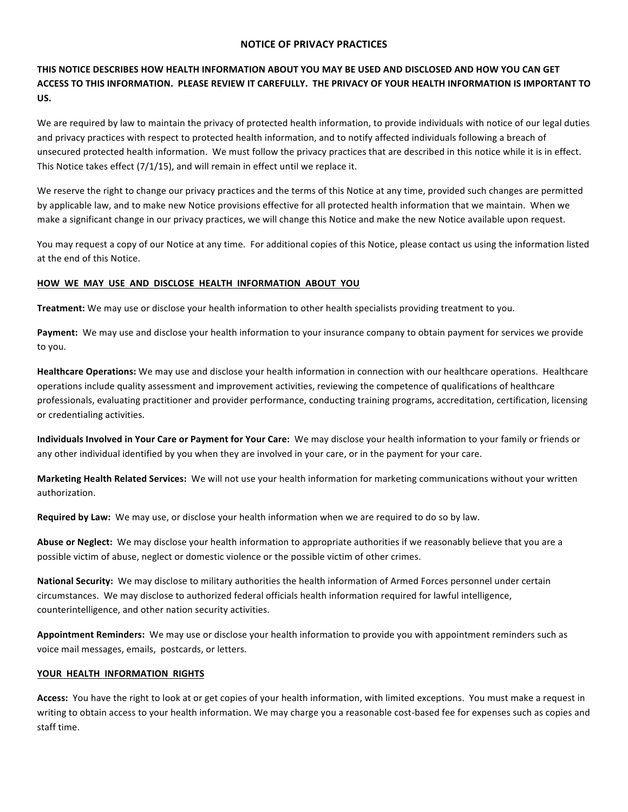### **NOTICE OF PRIVACY PRACTICES**

# THIS NOTICE DESCRIBES HOW HEALTH INFORMATION ABOUT YOU MAY BE USED AND DISCLOSED AND HOW YOU CAN GET ACCESS TO THIS INFORMATION. PLEASE REVIEW IT CAREFULLY. THE PRIVACY OF YOUR HEALTH INFORMATION IS IMPORTANT TO **US.**

We are required by law to maintain the privacy of protected health information, to provide individuals with notice of our legal duties and privacy practices with respect to protected health information, and to notify affected individuals following a breach of unsecured protected health information. We must follow the privacy practices that are described in this notice while it is in effect. This Notice takes effect  $(7/1/15)$ , and will remain in effect until we replace it.

We reserve the right to change our privacy practices and the terms of this Notice at any time, provided such changes are permitted by applicable law, and to make new Notice provisions effective for all protected health information that we maintain. When we make a significant change in our privacy practices, we will change this Notice and make the new Notice available upon request.

You may request a copy of our Notice at any time. For additional copies of this Notice, please contact us using the information listed at the end of this Notice.

# **HOW WE MAY USE AND DISCLOSE HEALTH INFORMATION ABOUT YOU**

**Treatment:** We may use or disclose your health information to other health specialists providing treatment to you.

Payment: We may use and disclose your health information to your insurance company to obtain payment for services we provide to you.

Healthcare Operations: We may use and disclose your health information in connection with our healthcare operations. Healthcare operations include quality assessment and improvement activities, reviewing the competence of qualifications of healthcare professionals, evaluating practitioner and provider performance, conducting training programs, accreditation, certification, licensing or credentialing activities.

**Individuals Involved in Your Care or Payment for Your Care:** We may disclose your health information to your family or friends or any other individual identified by you when they are involved in your care, or in the payment for your care.

Marketing Health Related Services: We will not use your health information for marketing communications without your written authorization.

**Required by Law:** We may use, or disclose your health information when we are required to do so by law.

Abuse or Neglect: We may disclose your health information to appropriate authorities if we reasonably believe that you are a possible victim of abuse, neglect or domestic violence or the possible victim of other crimes.

National Security: We may disclose to military authorities the health information of Armed Forces personnel under certain circumstances. We may disclose to authorized federal officials health information required for lawful intelligence, counterintelligence, and other nation security activities.

Appointment Reminders: We may use or disclose your health information to provide you with appointment reminders such as voice mail messages, emails, postcards, or letters.

# **YOUR HEALTH INFORMATION RIGHTS**

Access: You have the right to look at or get copies of your health information, with limited exceptions. You must make a request in writing to obtain access to your health information. We may charge you a reasonable cost-based fee for expenses such as copies and staff time.